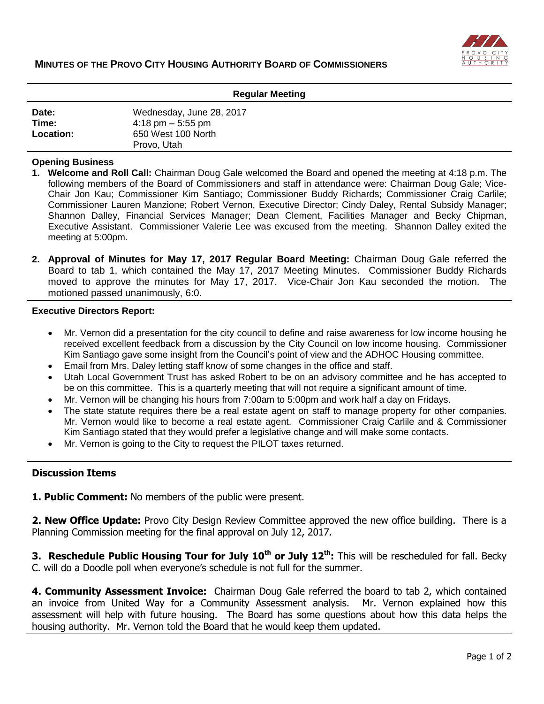

| <b>Regular Meeting</b>      |                                                                                                      |
|-----------------------------|------------------------------------------------------------------------------------------------------|
| Date:<br>Time:<br>Location: | Wednesday, June 28, 2017<br>$4:18 \text{ pm} - 5:55 \text{ pm}$<br>650 West 100 North<br>Provo, Utah |

### **Opening Business**

- **1. Welcome and Roll Call:** Chairman Doug Gale welcomed the Board and opened the meeting at 4:18 p.m. The following members of the Board of Commissioners and staff in attendance were: Chairman Doug Gale; Vice-Chair Jon Kau; Commissioner Kim Santiago; Commissioner Buddy Richards; Commissioner Craig Carlile; Commissioner Lauren Manzione; Robert Vernon, Executive Director; Cindy Daley, Rental Subsidy Manager; Shannon Dalley, Financial Services Manager; Dean Clement, Facilities Manager and Becky Chipman, Executive Assistant. Commissioner Valerie Lee was excused from the meeting. Shannon Dalley exited the meeting at 5:00pm.
- **2. Approval of Minutes for May 17, 2017 Regular Board Meeting:** Chairman Doug Gale referred the Board to tab 1, which contained the May 17, 2017 Meeting Minutes. Commissioner Buddy Richards moved to approve the minutes for May 17, 2017. Vice-Chair Jon Kau seconded the motion. The motioned passed unanimously, 6:0.

#### **Executive Directors Report:**

- Mr. Vernon did a presentation for the city council to define and raise awareness for low income housing he received excellent feedback from a discussion by the City Council on low income housing. Commissioner Kim Santiago gave some insight from the Council's point of view and the ADHOC Housing committee.
- Email from Mrs. Daley letting staff know of some changes in the office and staff.
- Utah Local Government Trust has asked Robert to be on an advisory committee and he has accepted to be on this committee. This is a quarterly meeting that will not require a significant amount of time.
- Mr. Vernon will be changing his hours from 7:00am to 5:00pm and work half a day on Fridays.
- The state statute requires there be a real estate agent on staff to manage property for other companies. Mr. Vernon would like to become a real estate agent. Commissioner Craig Carlile and & Commissioner Kim Santiago stated that they would prefer a legislative change and will make some contacts.
- Mr. Vernon is going to the City to request the PILOT taxes returned.

## **Discussion Items**

**1. Public Comment:** No members of the public were present.

**2. New Office Update:** Provo City Design Review Committee approved the new office building. There is a Planning Commission meeting for the final approval on July 12, 2017.

**3. Reschedule Public Housing Tour for July 10th or July 12th:** This will be rescheduled for fall. Becky C. will do a Doodle poll when everyone's schedule is not full for the summer.

**4. Community Assessment Invoice:** Chairman Doug Gale referred the board to tab 2, which contained an invoice from United Way for a Community Assessment analysis. Mr. Vernon explained how this assessment will help with future housing. The Board has some questions about how this data helps the housing authority. Mr. Vernon told the Board that he would keep them updated.